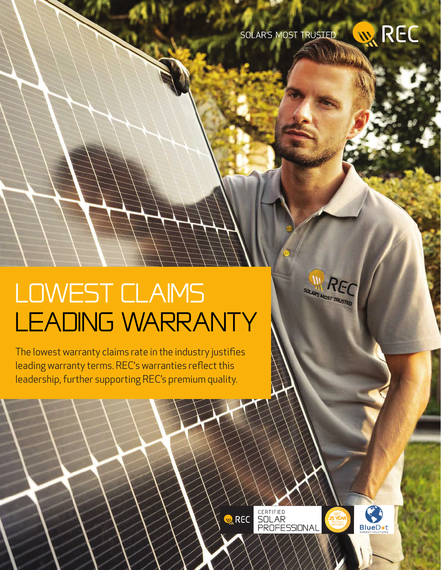

III RE SOLAR'S MOST TRUSTED

## LOWEST CLAIMS LEADING WARRANTY

The lowest warranty claims rate in the industry justifies leading warranty terms. REC's warranties reflect this leadership, further supporting REC's premium quality.

> CERTIFIED<br>SOLAR<br>PROFESSIONAL **WREC**